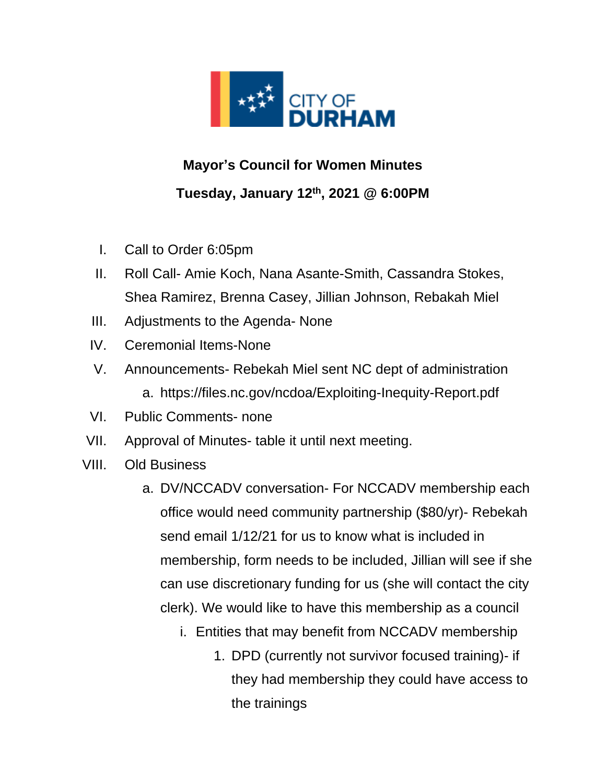

## **Mayor's Council for Women Minutes Tuesday, January 12 th, 2021 @ 6:00PM**

- I. Call to Order 6:05pm
- II. Roll Call- Amie Koch, Nana Asante-Smith, Cassandra Stokes, Shea Ramirez, Brenna Casey, Jillian Johnson, Rebakah Miel
- III. Adjustments to the Agenda- None
- IV. Ceremonial Items-None
- V. Announcements- Rebekah Miel sent NC dept of administration a. https://files.nc.gov/ncdoa/Exploiting-Inequity-Report.pdf
- VI. Public Comments- none
- VII. Approval of Minutes- table it until next meeting.
- VIII. Old Business
	- a. DV/NCCADV conversation- For NCCADV membership each office would need community partnership (\$80/yr)- Rebekah send email 1/12/21 for us to know what is included in membership, form needs to be included, Jillian will see if she can use discretionary funding for us (she will contact the city clerk). We would like to have this membership as a council
		- i. Entities that may benefit from NCCADV membership
			- 1. DPD (currently not survivor focused training)- if they had membership they could have access to the trainings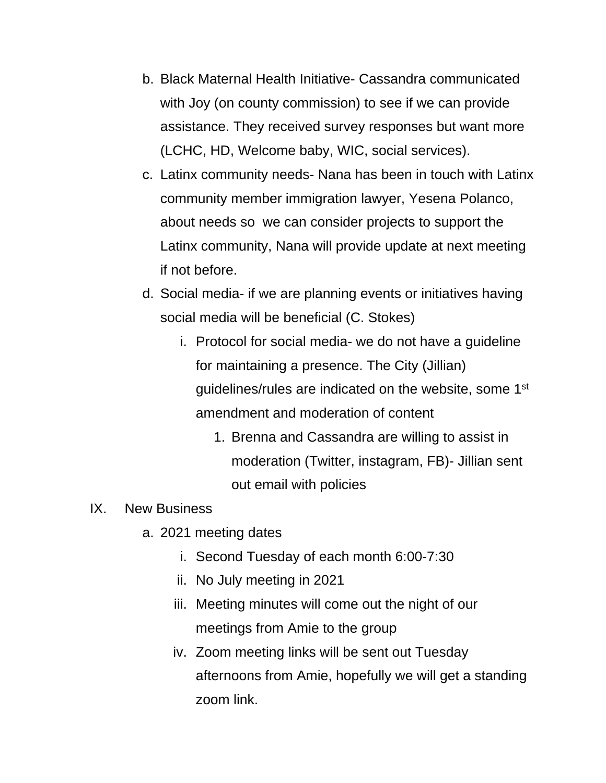- b. Black Maternal Health Initiative- Cassandra communicated with Joy (on county commission) to see if we can provide assistance. They received survey responses but want more (LCHC, HD, Welcome baby, WIC, social services).
- c. Latinx community needs- Nana has been in touch with Latinx community member immigration lawyer, Yesena Polanco, about needs so we can consider projects to support the Latinx community, Nana will provide update at next meeting if not before.
- d. Social media- if we are planning events or initiatives having social media will be beneficial (C. Stokes)
	- i. Protocol for social media- we do not have a guideline for maintaining a presence. The City (Jillian) guidelines/rules are indicated on the website, some 1<sup>st</sup> amendment and moderation of content
		- 1. Brenna and Cassandra are willing to assist in moderation (Twitter, instagram, FB)- Jillian sent out email with policies

## IX. New Business

- a. 2021 meeting dates
	- i. Second Tuesday of each month 6:00-7:30
	- ii. No July meeting in 2021
	- iii. Meeting minutes will come out the night of our meetings from Amie to the group
	- iv. Zoom meeting links will be sent out Tuesday afternoons from Amie, hopefully we will get a standing zoom link.